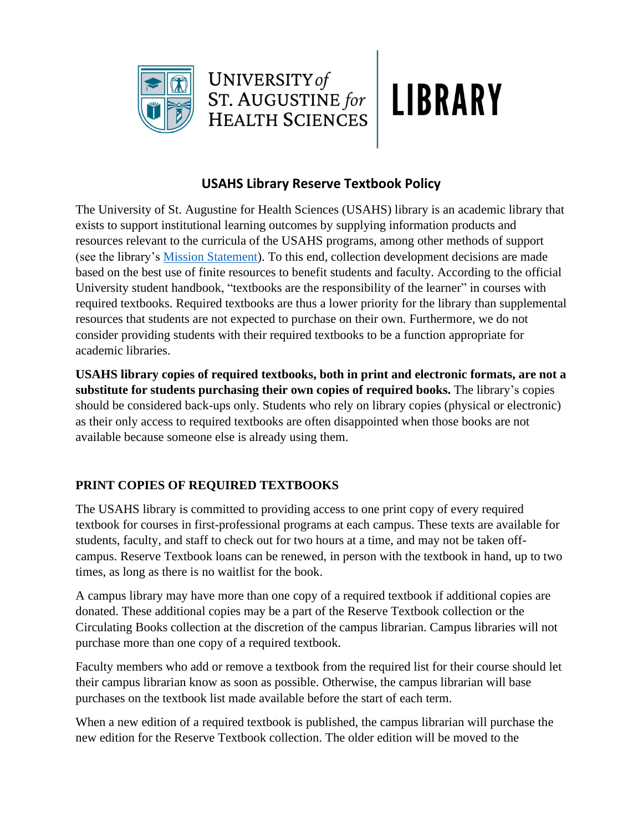



## **USAHS Library Reserve Textbook Policy**

The University of St. Augustine for Health Sciences (USAHS) library is an academic library that exists to support institutional learning outcomes by supplying information products and resources relevant to the curricula of the USAHS programs, among other methods of support (see the library's Mission Statement). To this end, collection development decisions are made based on the best use of finite resources to benefit students and faculty. According to the official University student handbook, "textbooks are the responsibility of the learner" in courses with required textbooks. Required textbooks are thus a lower priority for the library than supplemental resources that students are not expected to purchase on their own. Furthermore, we do not consider providing students with their required textbooks to be a function appropriate for academic libraries.

**USAHS library copies of required textbooks, both in print and electronic formats, are not a substitute for students purchasing their own copies of required books.** The library's copies should be considered back-ups only. Students who rely on library copies (physical or electronic) as their only access to required textbooks are often disappointed when those books are not available because someone else is already using them.

## **PRINT COPIES OF REQUIRED TEXTBOOKS**

The USAHS library is committed to providing access to one print copy of every required textbook for courses in first-professional programs at each campus. These texts are available for students, faculty, and staff to check out for two hours at a time, and may not be taken offcampus. Reserve Textbook loans can be renewed, in person with the textbook in hand, up to two times, as long as there is no waitlist for the book.

A campus library may have more than one copy of a required textbook if additional copies are donated. These additional copies may be a part of the Reserve Textbook collection or the Circulating Books collection at the discretion of the campus librarian. Campus libraries will not purchase more than one copy of a required textbook.

Faculty members who add or remove a textbook from the required list for their course should let their campus librarian know as soon as possible. Otherwise, the campus librarian will base purchases on the textbook list made available before the start of each term.

When a new edition of a required textbook is published, the campus librarian will purchase the new edition for the Reserve Textbook collection. The older edition will be moved to the